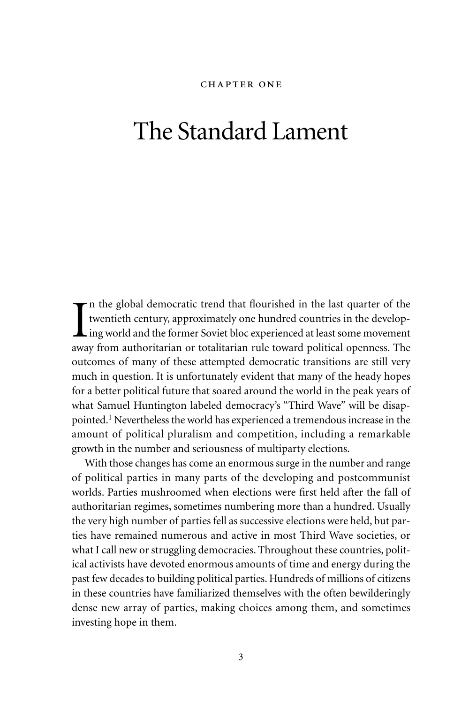# The Standard Lament

 $\prod$ awa n the global democratic trend that flourished in the last quarter of the twentieth century, approximately one hundred countries in the developing world and the former Soviet bloc experienced at least some movement away from authoritarian or totalitarian rule toward political openness. The outcomes of many of these attempted democratic transitions are still very much in question. It is unfortunately evident that many of the heady hopes for a better political future that soared around the world in the peak years of what Samuel Huntington labeled democracy's "Third Wave" will be disappointed.1 Nevertheless the world has experienced a tremendous increase in the amount of political pluralism and competition, including a remarkable growth in the number and seriousness of multiparty elections.

With those changes has come an enormous surge in the number and range of political parties in many parts of the developing and postcommunist worlds. Parties mushroomed when elections were first held after the fall of authoritarian regimes, sometimes numbering more than a hundred. Usually the very high number of parties fell as successive elections were held, but parties have remained numerous and active in most Third Wave societies, or what I call new or struggling democracies. Throughout these countries, political activists have devoted enormous amounts of time and energy during the past few decades to building political parties. Hundreds of millions of citizens in these countries have familiarized themselves with the often bewilderingly dense new array of parties, making choices among them, and sometimes investing hope in them.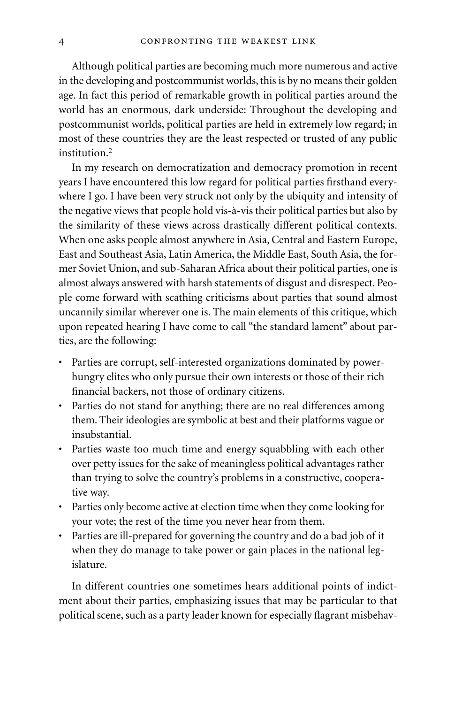Although political parties are becoming much more numerous and active in the developing and postcommunist worlds, this is by no means their golden age. In fact this period of remarkable growth in political parties around the world has an enormous, dark underside: Throughout the developing and postcommunist worlds, political parties are held in extremely low regard; in most of these countries they are the least respected or trusted of any public institution.2

In my research on democratization and democracy promotion in recent years I have encountered this low regard for political parties firsthand everywhere I go. I have been very struck not only by the ubiquity and intensity of the negative views that people hold vis-à-vis their political parties but also by the similarity of these views across drastically different political contexts. When one asks people almost anywhere in Asia, Central and Eastern Europe, East and Southeast Asia, Latin America, the Middle East, South Asia, the former Soviet Union, and sub-Saharan Africa about their political parties, one is almost always answered with harsh statements of disgust and disrespect. People come forward with scathing criticisms about parties that sound almost uncannily similar wherever one is. The main elements of this critique, which upon repeated hearing I have come to call "the standard lament" about parties, are the following:

- Parties are corrupt, self-interested organizations dominated by powerhungry elites who only pursue their own interests or those of their rich financial backers, not those of ordinary citizens.
- Parties do not stand for anything; there are no real differences among them. Their ideologies are symbolic at best and their platforms vague or insubstantial.
- Parties waste too much time and energy squabbling with each other over petty issues for the sake of meaningless political advantages rather than trying to solve the country's problems in a constructive, cooperative way.
- Parties only become active at election time when they come looking for your vote; the rest of the time you never hear from them.
- Parties are ill-prepared for governing the country and do a bad job of it when they do manage to take power or gain places in the national legislature.

In different countries one sometimes hears additional points of indictment about their parties, emphasizing issues that may be particular to that political scene, such as a party leader known for especially flagrant misbehav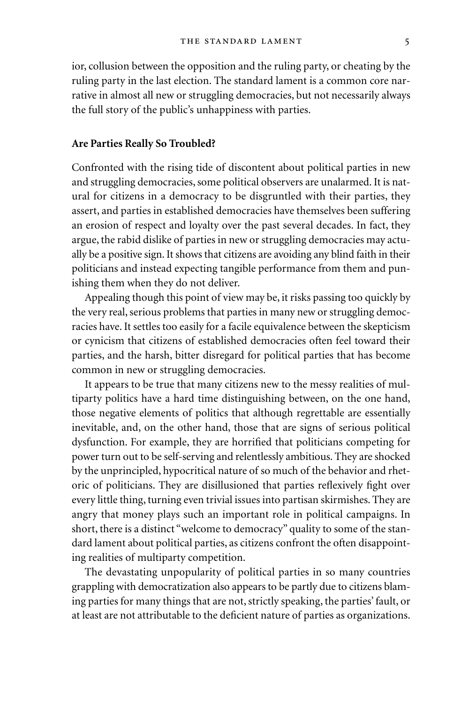ior, collusion between the opposition and the ruling party, or cheating by the ruling party in the last election. The standard lament is a common core narrative in almost all new or struggling democracies, but not necessarily always the full story of the public's unhappiness with parties.

### **Are Parties Really So Troubled?**

Confronted with the rising tide of discontent about political parties in new and struggling democracies, some political observers are unalarmed. It is natural for citizens in a democracy to be disgruntled with their parties, they assert, and parties in established democracies have themselves been suffering an erosion of respect and loyalty over the past several decades. In fact, they argue, the rabid dislike of parties in new or struggling democracies may actually be a positive sign. It shows that citizens are avoiding any blind faith in their politicians and instead expecting tangible performance from them and punishing them when they do not deliver.

Appealing though this point of view may be, it risks passing too quickly by the very real, serious problems that parties in many new or struggling democracies have. It settles too easily for a facile equivalence between the skepticism or cynicism that citizens of established democracies often feel toward their parties, and the harsh, bitter disregard for political parties that has become common in new or struggling democracies.

It appears to be true that many citizens new to the messy realities of multiparty politics have a hard time distinguishing between, on the one hand, those negative elements of politics that although regrettable are essentially inevitable, and, on the other hand, those that are signs of serious political dysfunction. For example, they are horrified that politicians competing for power turn out to be self-serving and relentlessly ambitious. They are shocked by the unprincipled, hypocritical nature of so much of the behavior and rhetoric of politicians. They are disillusioned that parties reflexively fight over every little thing, turning even trivial issues into partisan skirmishes. They are angry that money plays such an important role in political campaigns. In short, there is a distinct "welcome to democracy" quality to some of the standard lament about political parties, as citizens confront the often disappointing realities of multiparty competition.

The devastating unpopularity of political parties in so many countries grappling with democratization also appears to be partly due to citizens blaming parties for many things that are not, strictly speaking, the parties' fault, or at least are not attributable to the deficient nature of parties as organizations.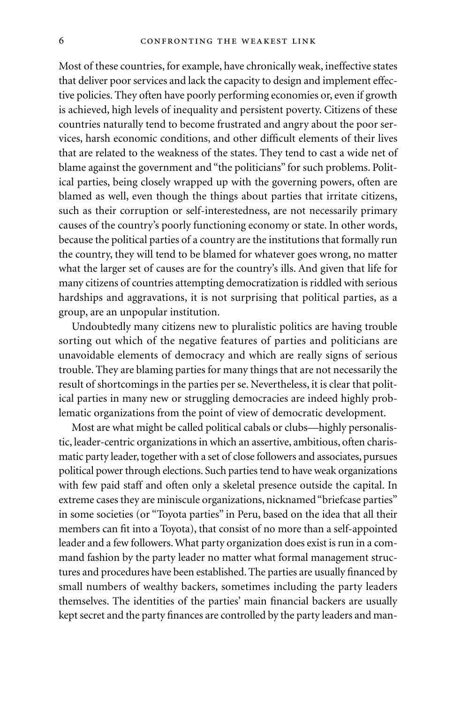Most of these countries, for example, have chronically weak, ineffective states that deliver poor services and lack the capacity to design and implement effective policies. They often have poorly performing economies or, even if growth is achieved, high levels of inequality and persistent poverty. Citizens of these countries naturally tend to become frustrated and angry about the poor services, harsh economic conditions, and other difficult elements of their lives that are related to the weakness of the states. They tend to cast a wide net of blame against the government and "the politicians" for such problems. Political parties, being closely wrapped up with the governing powers, often are blamed as well, even though the things about parties that irritate citizens, such as their corruption or self-interestedness, are not necessarily primary causes of the country's poorly functioning economy or state. In other words, because the political parties of a country are the institutions that formally run the country, they will tend to be blamed for whatever goes wrong, no matter what the larger set of causes are for the country's ills. And given that life for many citizens of countries attempting democratization is riddled with serious hardships and aggravations, it is not surprising that political parties, as a group, are an unpopular institution.

Undoubtedly many citizens new to pluralistic politics are having trouble sorting out which of the negative features of parties and politicians are unavoidable elements of democracy and which are really signs of serious trouble. They are blaming parties for many things that are not necessarily the result of shortcomings in the parties per se. Nevertheless, it is clear that political parties in many new or struggling democracies are indeed highly problematic organizations from the point of view of democratic development.

Most are what might be called political cabals or clubs—highly personalistic, leader-centric organizations in which an assertive, ambitious, often charismatic party leader, together with a set of close followers and associates, pursues political power through elections. Such parties tend to have weak organizations with few paid staff and often only a skeletal presence outside the capital. In extreme cases they are miniscule organizations, nicknamed "briefcase parties" in some societies (or "Toyota parties" in Peru, based on the idea that all their members can fit into a Toyota), that consist of no more than a self-appointed leader and a few followers. What party organization does exist is run in a command fashion by the party leader no matter what formal management structures and procedures have been established. The parties are usually financed by small numbers of wealthy backers, sometimes including the party leaders themselves. The identities of the parties' main financial backers are usually kept secret and the party finances are controlled by the party leaders and man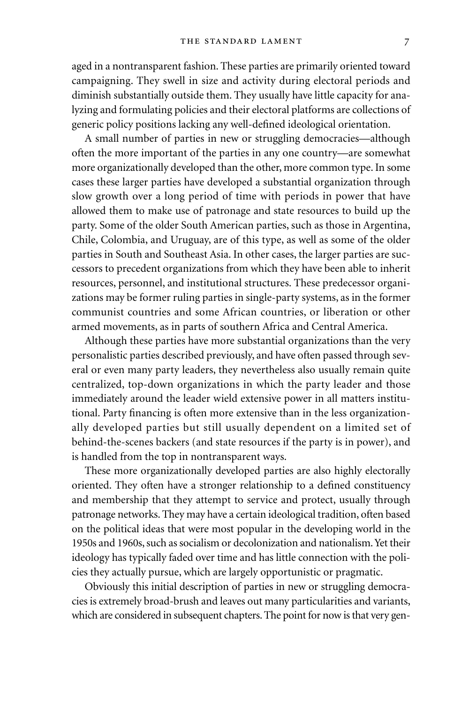aged in a nontransparent fashion. These parties are primarily oriented toward campaigning. They swell in size and activity during electoral periods and diminish substantially outside them. They usually have little capacity for analyzing and formulating policies and their electoral platforms are collections of generic policy positions lacking any well-defined ideological orientation.

A small number of parties in new or struggling democracies—although often the more important of the parties in any one country—are somewhat more organizationally developed than the other, more common type. In some cases these larger parties have developed a substantial organization through slow growth over a long period of time with periods in power that have allowed them to make use of patronage and state resources to build up the party. Some of the older South American parties, such as those in Argentina, Chile, Colombia, and Uruguay, are of this type, as well as some of the older parties in South and Southeast Asia. In other cases, the larger parties are successors to precedent organizations from which they have been able to inherit resources, personnel, and institutional structures. These predecessor organizations may be former ruling parties in single-party systems, as in the former communist countries and some African countries, or liberation or other armed movements, as in parts of southern Africa and Central America.

Although these parties have more substantial organizations than the very personalistic parties described previously, and have often passed through several or even many party leaders, they nevertheless also usually remain quite centralized, top-down organizations in which the party leader and those immediately around the leader wield extensive power in all matters institutional. Party financing is often more extensive than in the less organizationally developed parties but still usually dependent on a limited set of behind-the-scenes backers (and state resources if the party is in power), and is handled from the top in nontransparent ways.

These more organizationally developed parties are also highly electorally oriented. They often have a stronger relationship to a defined constituency and membership that they attempt to service and protect, usually through patronage networks. They may have a certain ideological tradition, often based on the political ideas that were most popular in the developing world in the 1950s and 1960s, such as socialism or decolonization and nationalism.Yet their ideology has typically faded over time and has little connection with the policies they actually pursue, which are largely opportunistic or pragmatic.

Obviously this initial description of parties in new or struggling democracies is extremely broad-brush and leaves out many particularities and variants, which are considered in subsequent chapters. The point for now is that very gen-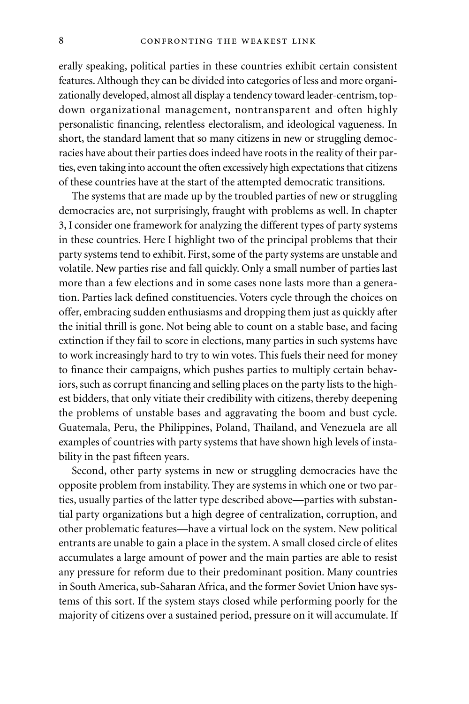erally speaking, political parties in these countries exhibit certain consistent features. Although they can be divided into categories of less and more organizationally developed, almost all display a tendency toward leader-centrism, topdown organizational management, nontransparent and often highly personalistic financing, relentless electoralism, and ideological vagueness. In short, the standard lament that so many citizens in new or struggling democracies have about their parties does indeed have roots in the reality of their parties, even taking into account the often excessively high expectations that citizens of these countries have at the start of the attempted democratic transitions.

The systems that are made up by the troubled parties of new or struggling democracies are, not surprisingly, fraught with problems as well. In chapter 3, I consider one framework for analyzing the different types of party systems in these countries. Here I highlight two of the principal problems that their party systems tend to exhibit. First, some of the party systems are unstable and volatile. New parties rise and fall quickly. Only a small number of parties last more than a few elections and in some cases none lasts more than a generation. Parties lack defined constituencies. Voters cycle through the choices on offer, embracing sudden enthusiasms and dropping them just as quickly after the initial thrill is gone. Not being able to count on a stable base, and facing extinction if they fail to score in elections, many parties in such systems have to work increasingly hard to try to win votes. This fuels their need for money to finance their campaigns, which pushes parties to multiply certain behaviors, such as corrupt financing and selling places on the party lists to the highest bidders, that only vitiate their credibility with citizens, thereby deepening the problems of unstable bases and aggravating the boom and bust cycle. Guatemala, Peru, the Philippines, Poland, Thailand, and Venezuela are all examples of countries with party systems that have shown high levels of instability in the past fifteen years.

Second, other party systems in new or struggling democracies have the opposite problem from instability. They are systems in which one or two parties, usually parties of the latter type described above—parties with substantial party organizations but a high degree of centralization, corruption, and other problematic features—have a virtual lock on the system. New political entrants are unable to gain a place in the system. A small closed circle of elites accumulates a large amount of power and the main parties are able to resist any pressure for reform due to their predominant position. Many countries in South America, sub-Saharan Africa, and the former Soviet Union have systems of this sort. If the system stays closed while performing poorly for the majority of citizens over a sustained period, pressure on it will accumulate. If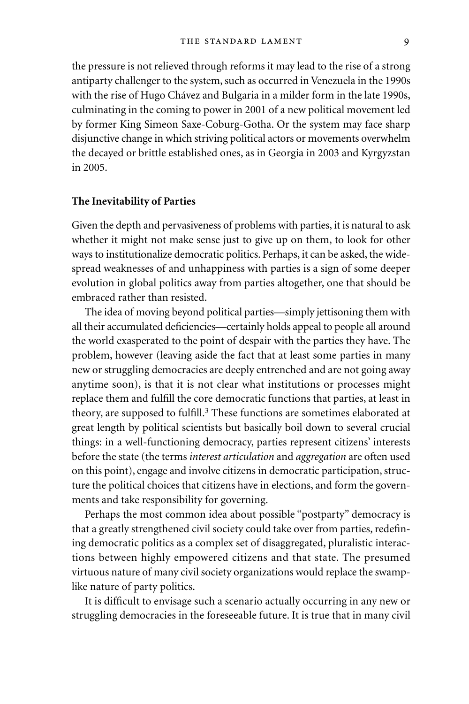the pressure is not relieved through reforms it may lead to the rise of a strong antiparty challenger to the system, such as occurred in Venezuela in the 1990s with the rise of Hugo Chávez and Bulgaria in a milder form in the late 1990s, culminating in the coming to power in 2001 of a new political movement led by former King Simeon Saxe-Coburg-Gotha. Or the system may face sharp disjunctive change in which striving political actors or movements overwhelm the decayed or brittle established ones, as in Georgia in 2003 and Kyrgyzstan in 2005.

#### **The Inevitability of Parties**

Given the depth and pervasiveness of problems with parties, it is natural to ask whether it might not make sense just to give up on them, to look for other ways to institutionalize democratic politics. Perhaps, it can be asked, the widespread weaknesses of and unhappiness with parties is a sign of some deeper evolution in global politics away from parties altogether, one that should be embraced rather than resisted.

The idea of moving beyond political parties—simply jettisoning them with all their accumulated deficiencies—certainly holds appeal to people all around the world exasperated to the point of despair with the parties they have. The problem, however (leaving aside the fact that at least some parties in many new or struggling democracies are deeply entrenched and are not going away anytime soon), is that it is not clear what institutions or processes might replace them and fulfill the core democratic functions that parties, at least in theory, are supposed to fulfill.<sup>3</sup> These functions are sometimes elaborated at great length by political scientists but basically boil down to several crucial things: in a well-functioning democracy, parties represent citizens' interests before the state (the terms *interest articulation* and *aggregation* are often used on this point), engage and involve citizens in democratic participation, structure the political choices that citizens have in elections, and form the governments and take responsibility for governing.

Perhaps the most common idea about possible "postparty" democracy is that a greatly strengthened civil society could take over from parties, redefining democratic politics as a complex set of disaggregated, pluralistic interactions between highly empowered citizens and that state. The presumed virtuous nature of many civil society organizations would replace the swamplike nature of party politics.

It is difficult to envisage such a scenario actually occurring in any new or struggling democracies in the foreseeable future. It is true that in many civil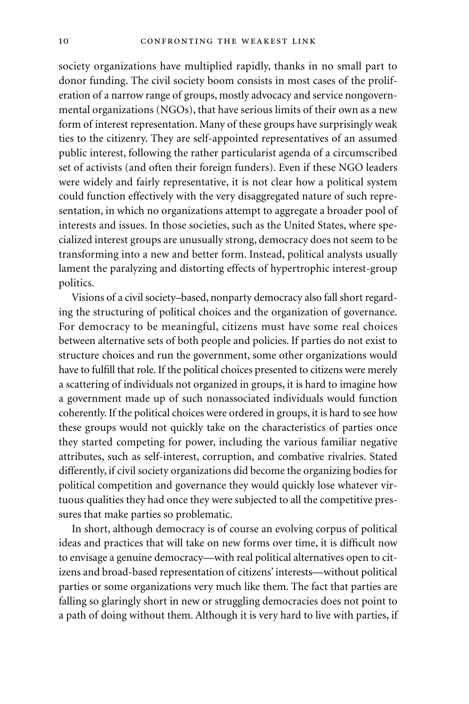society organizations have multiplied rapidly, thanks in no small part to donor funding. The civil society boom consists in most cases of the proliferation of a narrow range of groups, mostly advocacy and service nongovernmental organizations (NGOs), that have serious limits of their own as a new form of interest representation. Many of these groups have surprisingly weak ties to the citizenry. They are self-appointed representatives of an assumed public interest, following the rather particularist agenda of a circumscribed set of activists (and often their foreign funders). Even if these NGO leaders were widely and fairly representative, it is not clear how a political system could function effectively with the very disaggregated nature of such representation, in which no organizations attempt to aggregate a broader pool of interests and issues. In those societies, such as the United States, where specialized interest groups are unusually strong, democracy does not seem to be transforming into a new and better form. Instead, political analysts usually lament the paralyzing and distorting effects of hypertrophic interest-group politics.

Visions of a civil society–based, nonparty democracy also fall short regarding the structuring of political choices and the organization of governance. For democracy to be meaningful, citizens must have some real choices between alternative sets of both people and policies. If parties do not exist to structure choices and run the government, some other organizations would have to fulfill that role. If the political choices presented to citizens were merely a scattering of individuals not organized in groups, it is hard to imagine how a government made up of such nonassociated individuals would function coherently. If the political choices were ordered in groups, it is hard to see how these groups would not quickly take on the characteristics of parties once they started competing for power, including the various familiar negative attributes, such as self-interest, corruption, and combative rivalries. Stated differently, if civil society organizations did become the organizing bodies for political competition and governance they would quickly lose whatever virtuous qualities they had once they were subjected to all the competitive pressures that make parties so problematic.

In short, although democracy is of course an evolving corpus of political ideas and practices that will take on new forms over time, it is difficult now to envisage a genuine democracy—with real political alternatives open to citizens and broad-based representation of citizens' interests—without political parties or some organizations very much like them. The fact that parties are falling so glaringly short in new or struggling democracies does not point to a path of doing without them. Although it is very hard to live with parties, if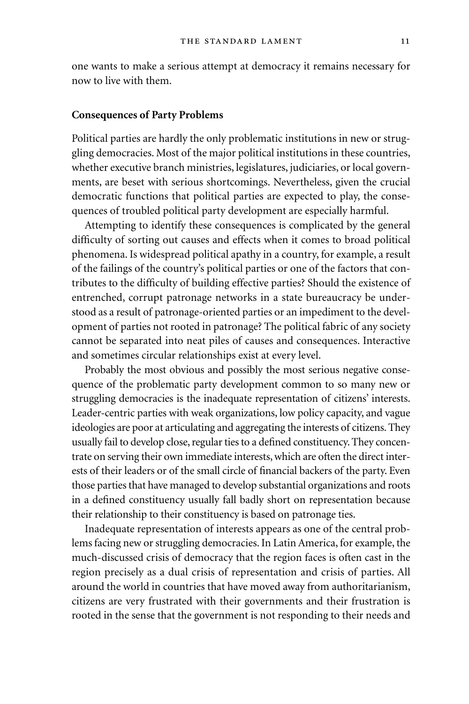one wants to make a serious attempt at democracy it remains necessary for now to live with them.

#### **Consequences of Party Problems**

Political parties are hardly the only problematic institutions in new or struggling democracies. Most of the major political institutions in these countries, whether executive branch ministries, legislatures, judiciaries, or local governments, are beset with serious shortcomings. Nevertheless, given the crucial democratic functions that political parties are expected to play, the consequences of troubled political party development are especially harmful.

Attempting to identify these consequences is complicated by the general difficulty of sorting out causes and effects when it comes to broad political phenomena. Is widespread political apathy in a country, for example, a result of the failings of the country's political parties or one of the factors that contributes to the difficulty of building effective parties? Should the existence of entrenched, corrupt patronage networks in a state bureaucracy be understood as a result of patronage-oriented parties or an impediment to the development of parties not rooted in patronage? The political fabric of any society cannot be separated into neat piles of causes and consequences. Interactive and sometimes circular relationships exist at every level.

Probably the most obvious and possibly the most serious negative consequence of the problematic party development common to so many new or struggling democracies is the inadequate representation of citizens' interests. Leader-centric parties with weak organizations, low policy capacity, and vague ideologies are poor at articulating and aggregating the interests of citizens. They usually fail to develop close, regular ties to a defined constituency. They concentrate on serving their own immediate interests, which are often the direct interests of their leaders or of the small circle of financial backers of the party. Even those parties that have managed to develop substantial organizations and roots in a defined constituency usually fall badly short on representation because their relationship to their constituency is based on patronage ties.

Inadequate representation of interests appears as one of the central problems facing new or struggling democracies. In Latin America, for example, the much-discussed crisis of democracy that the region faces is often cast in the region precisely as a dual crisis of representation and crisis of parties. All around the world in countries that have moved away from authoritarianism, citizens are very frustrated with their governments and their frustration is rooted in the sense that the government is not responding to their needs and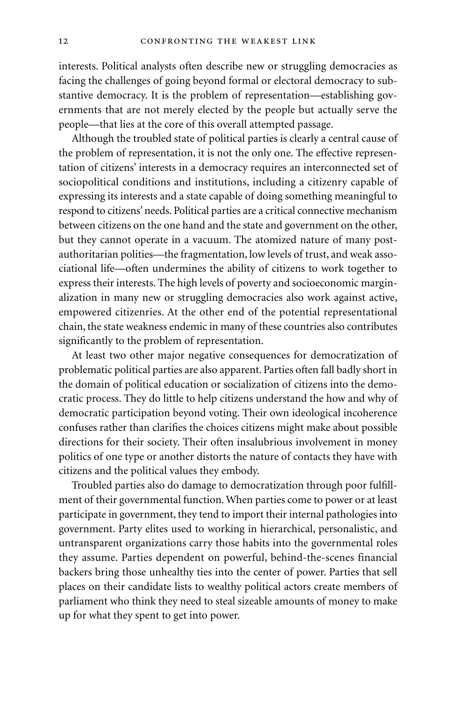interests. Political analysts often describe new or struggling democracies as facing the challenges of going beyond formal or electoral democracy to substantive democracy. It is the problem of representation—establishing governments that are not merely elected by the people but actually serve the people—that lies at the core of this overall attempted passage.

Although the troubled state of political parties is clearly a central cause of the problem of representation, it is not the only one. The effective representation of citizens' interests in a democracy requires an interconnected set of sociopolitical conditions and institutions, including a citizenry capable of expressing its interests and a state capable of doing something meaningful to respond to citizens' needs. Political parties are a critical connective mechanism between citizens on the one hand and the state and government on the other, but they cannot operate in a vacuum. The atomized nature of many postauthoritarian polities—the fragmentation, low levels of trust, and weak associational life—often undermines the ability of citizens to work together to express their interests. The high levels of poverty and socioeconomic marginalization in many new or struggling democracies also work against active, empowered citizenries. At the other end of the potential representational chain, the state weakness endemic in many of these countries also contributes significantly to the problem of representation.

At least two other major negative consequences for democratization of problematic political parties are also apparent. Parties often fall badly short in the domain of political education or socialization of citizens into the democratic process. They do little to help citizens understand the how and why of democratic participation beyond voting. Their own ideological incoherence confuses rather than clarifies the choices citizens might make about possible directions for their society. Their often insalubrious involvement in money politics of one type or another distorts the nature of contacts they have with citizens and the political values they embody.

Troubled parties also do damage to democratization through poor fulfillment of their governmental function. When parties come to power or at least participate in government, they tend to import their internal pathologies into government. Party elites used to working in hierarchical, personalistic, and untransparent organizations carry those habits into the governmental roles they assume. Parties dependent on powerful, behind-the-scenes financial backers bring those unhealthy ties into the center of power. Parties that sell places on their candidate lists to wealthy political actors create members of parliament who think they need to steal sizeable amounts of money to make up for what they spent to get into power.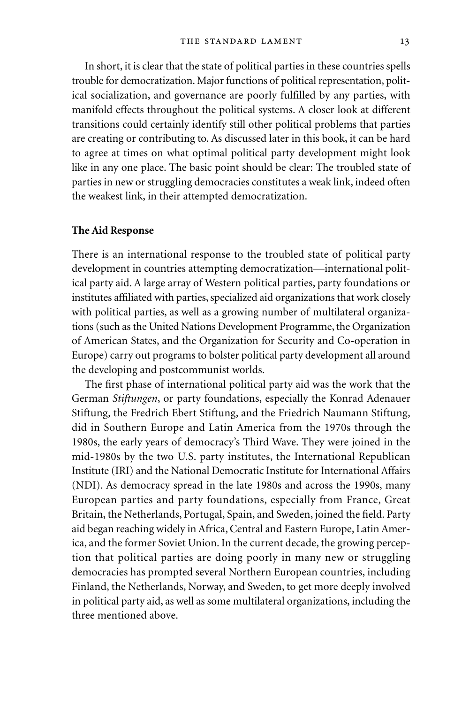In short, it is clear that the state of political parties in these countries spells trouble for democratization. Major functions of political representation, political socialization, and governance are poorly fulfilled by any parties, with manifold effects throughout the political systems. A closer look at different transitions could certainly identify still other political problems that parties are creating or contributing to. As discussed later in this book, it can be hard to agree at times on what optimal political party development might look like in any one place. The basic point should be clear: The troubled state of parties in new or struggling democracies constitutes a weak link, indeed often the weakest link, in their attempted democratization.

## **The Aid Response**

There is an international response to the troubled state of political party development in countries attempting democratization—international political party aid. A large array of Western political parties, party foundations or institutes affiliated with parties, specialized aid organizations that work closely with political parties, as well as a growing number of multilateral organizations (such as the United Nations Development Programme, the Organization of American States, and the Organization for Security and Co-operation in Europe) carry out programs to bolster political party development all around the developing and postcommunist worlds.

The first phase of international political party aid was the work that the German *Stiftungen*, or party foundations, especially the Konrad Adenauer Stiftung, the Fredrich Ebert Stiftung, and the Friedrich Naumann Stiftung, did in Southern Europe and Latin America from the 1970s through the 1980s, the early years of democracy's Third Wave. They were joined in the mid-1980s by the two U.S. party institutes, the International Republican Institute (IRI) and the National Democratic Institute for International Affairs (NDI). As democracy spread in the late 1980s and across the 1990s, many European parties and party foundations, especially from France, Great Britain, the Netherlands, Portugal, Spain, and Sweden, joined the field. Party aid began reaching widely in Africa, Central and Eastern Europe, Latin America, and the former Soviet Union. In the current decade, the growing perception that political parties are doing poorly in many new or struggling democracies has prompted several Northern European countries, including Finland, the Netherlands, Norway, and Sweden, to get more deeply involved in political party aid, as well as some multilateral organizations, including the three mentioned above.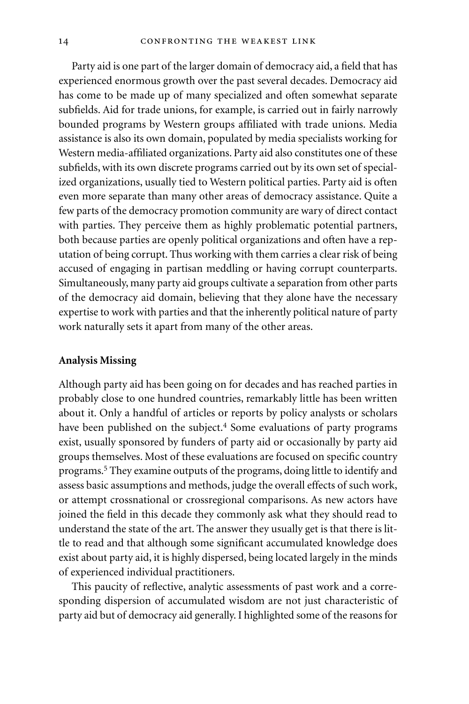Party aid is one part of the larger domain of democracy aid, a field that has experienced enormous growth over the past several decades. Democracy aid has come to be made up of many specialized and often somewhat separate subfields. Aid for trade unions, for example, is carried out in fairly narrowly bounded programs by Western groups affiliated with trade unions. Media assistance is also its own domain, populated by media specialists working for Western media-affiliated organizations. Party aid also constitutes one of these subfields, with its own discrete programs carried out by its own set of specialized organizations, usually tied to Western political parties. Party aid is often even more separate than many other areas of democracy assistance. Quite a few parts of the democracy promotion community are wary of direct contact with parties. They perceive them as highly problematic potential partners, both because parties are openly political organizations and often have a reputation of being corrupt. Thus working with them carries a clear risk of being accused of engaging in partisan meddling or having corrupt counterparts. Simultaneously, many party aid groups cultivate a separation from other parts of the democracy aid domain, believing that they alone have the necessary expertise to work with parties and that the inherently political nature of party work naturally sets it apart from many of the other areas.

#### **Analysis Missing**

Although party aid has been going on for decades and has reached parties in probably close to one hundred countries, remarkably little has been written about it. Only a handful of articles or reports by policy analysts or scholars have been published on the subject.<sup>4</sup> Some evaluations of party programs exist, usually sponsored by funders of party aid or occasionally by party aid groups themselves. Most of these evaluations are focused on specific country programs.5 They examine outputs of the programs, doing little to identify and assess basic assumptions and methods, judge the overall effects of such work, or attempt crossnational or crossregional comparisons. As new actors have joined the field in this decade they commonly ask what they should read to understand the state of the art. The answer they usually get is that there is little to read and that although some significant accumulated knowledge does exist about party aid, it is highly dispersed, being located largely in the minds of experienced individual practitioners.

This paucity of reflective, analytic assessments of past work and a corresponding dispersion of accumulated wisdom are not just characteristic of party aid but of democracy aid generally. I highlighted some of the reasons for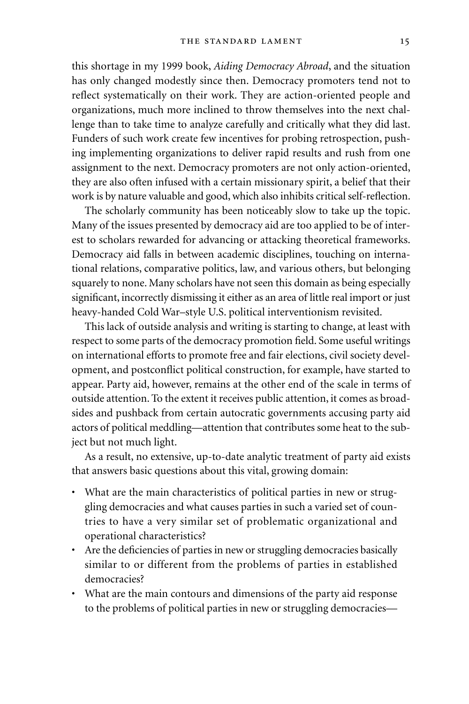this shortage in my 1999 book, *Aiding Democracy Abroad*, and the situation has only changed modestly since then. Democracy promoters tend not to reflect systematically on their work. They are action-oriented people and organizations, much more inclined to throw themselves into the next challenge than to take time to analyze carefully and critically what they did last. Funders of such work create few incentives for probing retrospection, pushing implementing organizations to deliver rapid results and rush from one assignment to the next. Democracy promoters are not only action-oriented, they are also often infused with a certain missionary spirit, a belief that their work is by nature valuable and good, which also inhibits critical self-reflection.

The scholarly community has been noticeably slow to take up the topic. Many of the issues presented by democracy aid are too applied to be of interest to scholars rewarded for advancing or attacking theoretical frameworks. Democracy aid falls in between academic disciplines, touching on international relations, comparative politics, law, and various others, but belonging squarely to none. Many scholars have not seen this domain as being especially significant, incorrectly dismissing it either as an area of little real import or just heavy-handed Cold War–style U.S. political interventionism revisited.

This lack of outside analysis and writing is starting to change, at least with respect to some parts of the democracy promotion field. Some useful writings on international efforts to promote free and fair elections, civil society development, and postconflict political construction, for example, have started to appear. Party aid, however, remains at the other end of the scale in terms of outside attention. To the extent it receives public attention, it comes as broadsides and pushback from certain autocratic governments accusing party aid actors of political meddling—attention that contributes some heat to the subject but not much light.

As a result, no extensive, up-to-date analytic treatment of party aid exists that answers basic questions about this vital, growing domain:

- What are the main characteristics of political parties in new or struggling democracies and what causes parties in such a varied set of countries to have a very similar set of problematic organizational and operational characteristics?
- Are the deficiencies of parties in new or struggling democracies basically similar to or different from the problems of parties in established democracies?
- What are the main contours and dimensions of the party aid response to the problems of political parties in new or struggling democracies—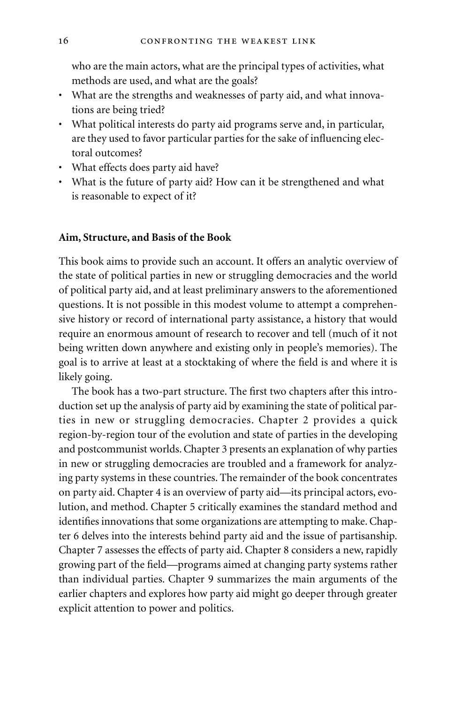who are the main actors, what are the principal types of activities, what methods are used, and what are the goals?

- What are the strengths and weaknesses of party aid, and what innovations are being tried?
- What political interests do party aid programs serve and, in particular, are they used to favor particular parties for the sake of influencing electoral outcomes?
- What effects does party aid have?
- What is the future of party aid? How can it be strengthened and what is reasonable to expect of it?

#### **Aim, Structure, and Basis of the Book**

This book aims to provide such an account. It offers an analytic overview of the state of political parties in new or struggling democracies and the world of political party aid, and at least preliminary answers to the aforementioned questions. It is not possible in this modest volume to attempt a comprehensive history or record of international party assistance, a history that would require an enormous amount of research to recover and tell (much of it not being written down anywhere and existing only in people's memories). The goal is to arrive at least at a stocktaking of where the field is and where it is likely going.

The book has a two-part structure. The first two chapters after this introduction set up the analysis of party aid by examining the state of political parties in new or struggling democracies. Chapter 2 provides a quick region-by-region tour of the evolution and state of parties in the developing and postcommunist worlds. Chapter 3 presents an explanation of why parties in new or struggling democracies are troubled and a framework for analyzing party systems in these countries. The remainder of the book concentrates on party aid. Chapter 4 is an overview of party aid—its principal actors, evolution, and method. Chapter 5 critically examines the standard method and identifies innovations that some organizations are attempting to make. Chapter 6 delves into the interests behind party aid and the issue of partisanship. Chapter 7 assesses the effects of party aid. Chapter 8 considers a new, rapidly growing part of the field—programs aimed at changing party systems rather than individual parties. Chapter 9 summarizes the main arguments of the earlier chapters and explores how party aid might go deeper through greater explicit attention to power and politics.